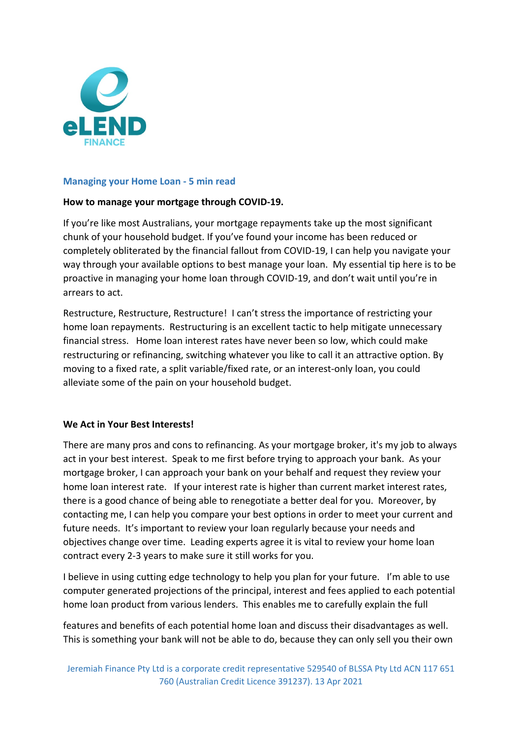

### **Managing your Home Loan - 5 min read**

## **How to manage your mortgage through COVID-19.**

If you're like most Australians, your mortgage repayments take up the most significant chunk of your household budget. If you've found your income has been reduced or completely obliterated by the financial fallout from COVID-19, I can help you navigate your way through your available options to best manage your loan. My essential tip here is to be proactive in managing your home loan through COVID-19, and don't wait until you're in arrears to act.

Restructure, Restructure, Restructure! I can't stress the importance of restricting your home loan repayments. Restructuring is an excellent tactic to help mitigate unnecessary financial stress. Home loan interest rates have never been so low, which could make restructuring or refinancing, switching whatever you like to call it an attractive option. By moving to a fixed rate, a split variable/fixed rate, or an interest-only loan, you could alleviate some of the pain on your household budget.

#### **We Act in Your Best Interests!**

There are many pros and cons to refinancing. As your mortgage broker, it's my job to always act in your best interest. Speak to me first before trying to approach your bank. As your mortgage broker, I can approach your bank on your behalf and request they review your home loan interest rate. If your interest rate is higher than current market interest rates, there is a good chance of being able to renegotiate a better deal for you. Moreover, by contacting me, I can help you compare your best options in order to meet your current and future needs. It's important to review your loan regularly because your needs and objectives change over time. Leading experts agree it is vital to review your home loan contract every 2-3 years to make sure it still works for you.

I believe in using cutting edge technology to help you plan for your future. I'm able to use computer generated projections of the principal, interest and fees applied to each potential home loan product from various lenders. This enables me to carefully explain the full

features and benefits of each potential home loan and discuss their disadvantages as well. This is something your bank will not be able to do, because they can only sell you their own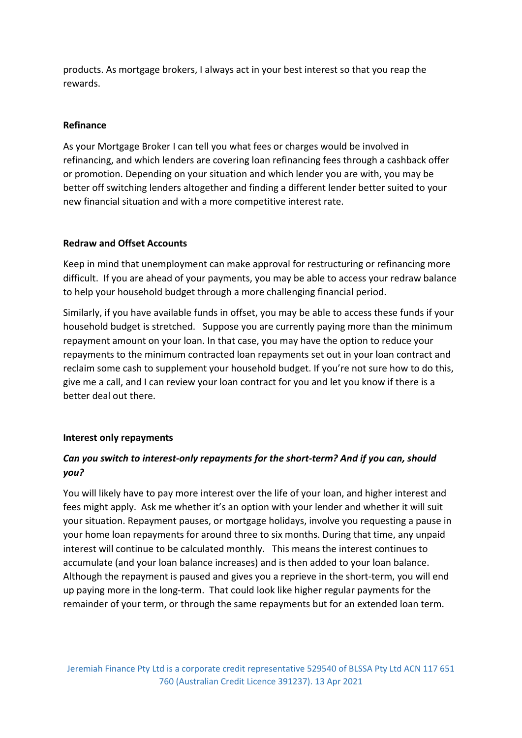products. As mortgage brokers, I always act in your best interest so that you reap the rewards.

### **Refinance**

As your Mortgage Broker I can tell you what fees or charges would be involved in refinancing, and which lenders are covering loan refinancing fees through a cashback offer or promotion. Depending on your situation and which lender you are with, you may be better off switching lenders altogether and finding a different lender better suited to your new financial situation and with a more competitive interest rate.

## **Redraw and Offset Accounts**

Keep in mind that unemployment can make approval for restructuring or refinancing more difficult. If you are ahead of your payments, you may be able to access your redraw balance to help your household budget through a more challenging financial period.

Similarly, if you have available funds in offset, you may be able to access these funds if your household budget is stretched. Suppose you are currently paying more than the minimum repayment amount on your loan. In that case, you may have the option to reduce your repayments to the minimum contracted loan repayments set out in your loan contract and reclaim some cash to supplement your household budget. If you're not sure how to do this, give me a call, and I can review your loan contract for you and let you know if there is a better deal out there.

# **Interest only repayments**

# *Can you switch to interest-only repayments for the short-term? And if you can, should you?*

You will likely have to pay more interest over the life of your loan, and higher interest and fees might apply. Ask me whether it's an option with your lender and whether it will suit your situation. Repayment pauses, or mortgage holidays, involve you requesting a pause in your home loan repayments for around three to six months. During that time, any unpaid interest will continue to be calculated monthly. This means the interest continues to accumulate (and your loan balance increases) and is then added to your loan balance. Although the repayment is paused and gives you a reprieve in the short-term, you will end up paying more in the long-term. That could look like higher regular payments for the remainder of your term, or through the same repayments but for an extended loan term.